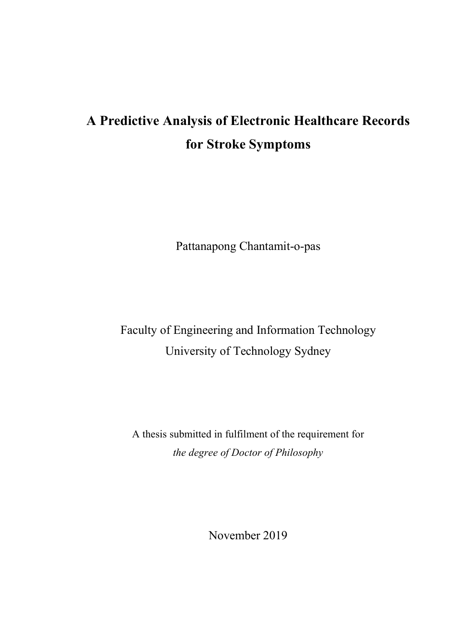# **A Predictive Analysis of Electronic Healthcare Records for Stroke Symptoms**

Pattanapong Chantamit-o-pas

Faculty of Engineering and Information Technology University of Technology Sydney

A thesis submitted in fulfilment of the requirement for *the degree of Doctor of Philosophy* 

November 2019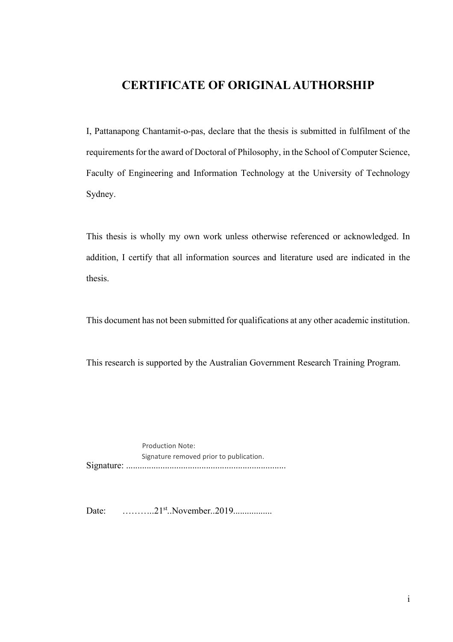### **CERTIFICATE OF ORIGINAL AUTHORSHIP**

I, Pattanapong Chantamit-o-pas, declare that the thesis is submitted in fulfilment of the requirements for the award of Doctoral of Philosophy, in the School of Computer Science, Faculty of Engineering and Information Technology at the University of Technology Sydney.

This thesis is wholly my own work unless otherwise referenced or acknowledged. In addition, I certify that all information sources and literature used are indicated in the thesis.

This document has not been submitted for qualifications at any other academic institution.

This research is supported by the Australian Government Research Training Program.

Signature: ...................................................................... Production Note: Signature removed prior to publication.

Date: ………..21st..November..2019.................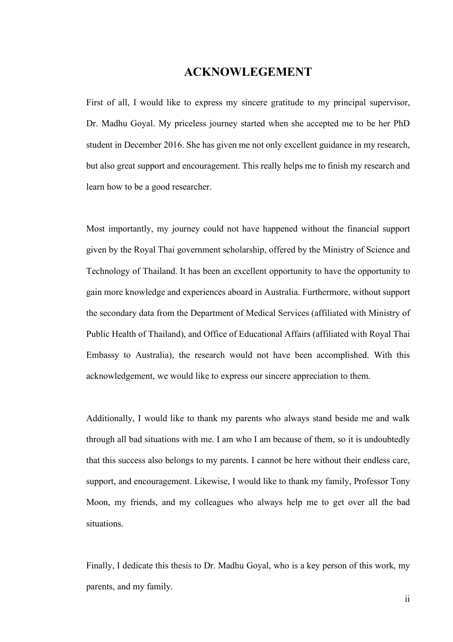#### **ACKNOWLEGEMENT**

First of all, I would like to express my sincere gratitude to my principal supervisor, Dr. Madhu Goyal. My priceless journey started when she accepted me to be her PhD student in December 2016. She has given me not only excellent guidance in my research, but also great support and encouragement. This really helps me to finish my research and learn how to be a good researcher.

Most importantly, my journey could not have happened without the financial support given by the Royal Thai government scholarship, offered by the Ministry of Science and Technology of Thailand. It has been an excellent opportunity to have the opportunity to gain more knowledge and experiences aboard in Australia. Furthermore, without support the secondary data from the Department of Medical Services (affiliated with Ministry of Public Health of Thailand), and Office of Educational Affairs (affiliated with Royal Thai Embassy to Australia), the research would not have been accomplished. With this acknowledgement, we would like to express our sincere appreciation to them.

Additionally, I would like to thank my parents who always stand beside me and walk through all bad situations with me. I am who I am because of them, so it is undoubtedly that this success also belongs to my parents. I cannot be here without their endless care, support, and encouragement. Likewise, I would like to thank my family, Professor Tony Moon, my friends, and my colleagues who always help me to get over all the bad situations.

Finally, I dedicate this thesis to Dr. Madhu Goyal, who is a key person of this work, my parents, and my family.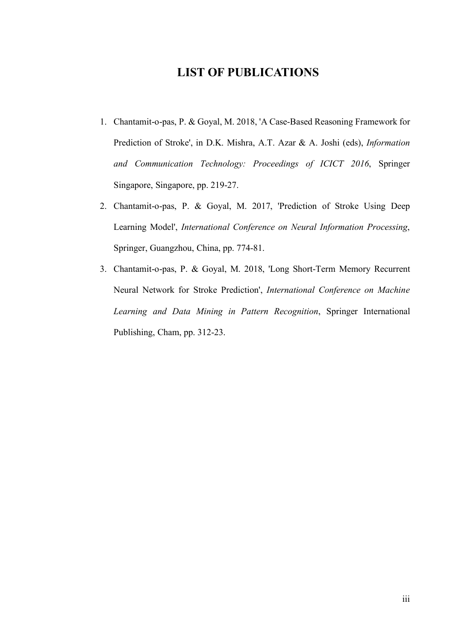### **LIST OF PUBLICATIONS**

- 1. Chantamit-o-pas, P. & Goyal, M. 2018, 'A Case-Based Reasoning Framework for Prediction of Stroke', in D.K. Mishra, A.T. Azar & A. Joshi (eds), *Information and Communication Technology: Proceedings of ICICT 2016*, Springer Singapore, Singapore, pp. 219-27.
- 2. Chantamit-o-pas, P. & Goyal, M. 2017, 'Prediction of Stroke Using Deep Learning Model', *International Conference on Neural Information Processing*, Springer, Guangzhou, China, pp. 774-81.
- 3. Chantamit-o-pas, P. & Goyal, M. 2018, 'Long Short-Term Memory Recurrent Neural Network for Stroke Prediction', *International Conference on Machine Learning and Data Mining in Pattern Recognition*, Springer International Publishing, Cham, pp. 312-23.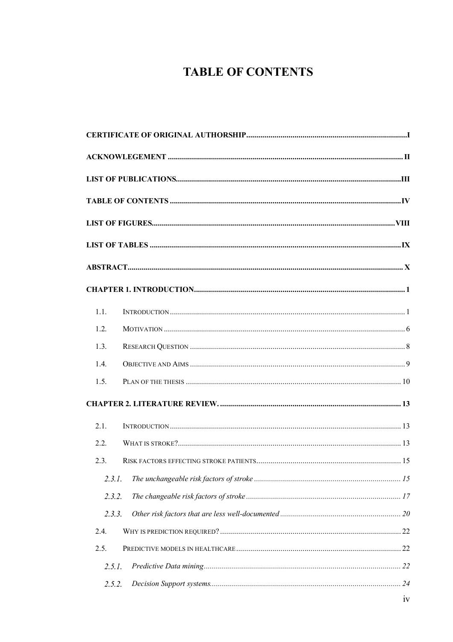# **TABLE OF CONTENTS**

| 1.1.   |  |
|--------|--|
| 1.2.   |  |
| 1.3.   |  |
| 1.4.   |  |
| 1.5.   |  |
|        |  |
| 2.1.   |  |
| 2.2.   |  |
| 2.3.   |  |
| 2.3.1. |  |
| 2.3.2. |  |
| 2.3.3. |  |
| 2.4.   |  |
| 2.5.   |  |
| 2.5.1. |  |
| 2.5.2. |  |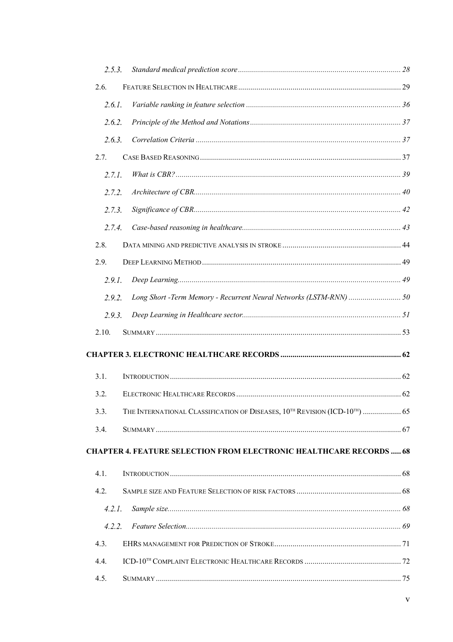| 2.5.3. |                                                                                                     |  |
|--------|-----------------------------------------------------------------------------------------------------|--|
| 2.6.   |                                                                                                     |  |
| 2.6.1. |                                                                                                     |  |
| 2.6.2. |                                                                                                     |  |
| 2.6.3. |                                                                                                     |  |
| 2.7.   |                                                                                                     |  |
| 2.7.1. |                                                                                                     |  |
| 2.7.2. |                                                                                                     |  |
| 2.7.3. |                                                                                                     |  |
| 2.7.4. |                                                                                                     |  |
| 2.8.   |                                                                                                     |  |
| 2.9.   |                                                                                                     |  |
| 2.9.1. |                                                                                                     |  |
| 2.9.2. | Long Short -Term Memory - Recurrent Neural Networks (LSTM-RNN)  50                                  |  |
| 2.9.3. |                                                                                                     |  |
| 2.10.  |                                                                                                     |  |
|        |                                                                                                     |  |
| 3.1.   |                                                                                                     |  |
| 3.2.   |                                                                                                     |  |
| 3.3.   | THE INTERNATIONAL CLASSIFICATION OF DISEASES, 10 <sup>TH</sup> REVISION (ICD-10 <sup>TH</sup> )  65 |  |
| 3.4.   |                                                                                                     |  |
|        | <b>CHAPTER 4. FEATURE SELECTION FROM ELECTRONIC HEALTHCARE RECORDS  68</b>                          |  |
| 4.1.   |                                                                                                     |  |
| 4.2.   |                                                                                                     |  |
| 4.2.1. |                                                                                                     |  |
| 4.2.2. |                                                                                                     |  |
| 4.3.   |                                                                                                     |  |
| 4.4.   |                                                                                                     |  |
| 4.5.   |                                                                                                     |  |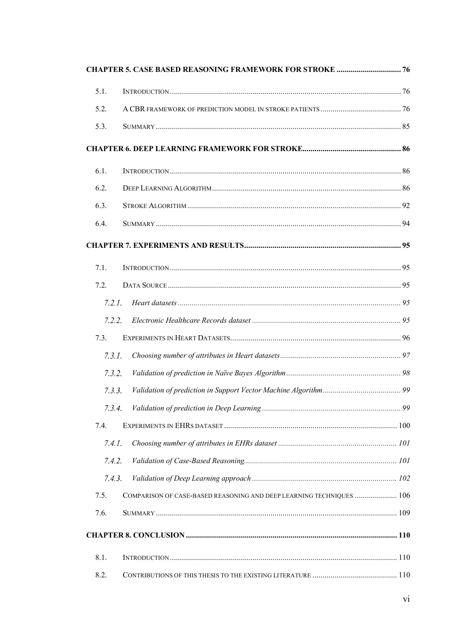|        | <b>CHAPTER 5. CASE BASED REASONING FRAMEWORK FOR STROKE  76</b>      |  |
|--------|----------------------------------------------------------------------|--|
| 5.1.   |                                                                      |  |
| 5.2.   |                                                                      |  |
| 5.3.   |                                                                      |  |
|        |                                                                      |  |
| 6.1.   |                                                                      |  |
| 6.2.   |                                                                      |  |
| 6.3.   |                                                                      |  |
| 6.4.   |                                                                      |  |
|        |                                                                      |  |
| 7.1.   |                                                                      |  |
| 7.2.   |                                                                      |  |
| 7.2.1. |                                                                      |  |
| 7.2.2. |                                                                      |  |
| 7.3.   |                                                                      |  |
| 7.3.1. |                                                                      |  |
| 7.3.2. |                                                                      |  |
| 7.3.3. |                                                                      |  |
| 7.3.4. |                                                                      |  |
| 7.4.   |                                                                      |  |
| 7.4.1. |                                                                      |  |
| 7.4.2. |                                                                      |  |
| 7.4.3. |                                                                      |  |
| 7.5.   | COMPARISON OF CASE-BASED REASONING AND DEEP LEARNING TECHNIQUES  106 |  |
| 7.6.   |                                                                      |  |
|        |                                                                      |  |
| 8.1.   |                                                                      |  |
| 8.2.   |                                                                      |  |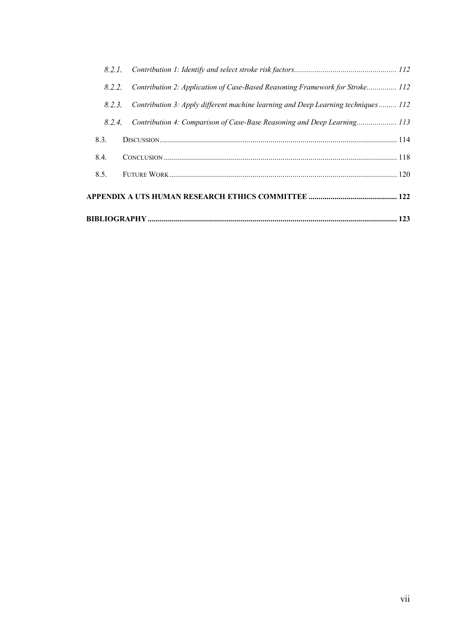| 8.5.   |                                                                                   |  |
|--------|-----------------------------------------------------------------------------------|--|
| 8.4.   |                                                                                   |  |
| 8.3.   |                                                                                   |  |
| 8.2.4. | Contribution 4: Comparison of Case-Base Reasoning and Deep Learning 113           |  |
| 8.2.3. | Contribution 3: Apply different machine learning and Deep Learning techniques 112 |  |
| 8.2.2. | Contribution 2: Application of Case-Based Reasoning Framework for Stroke 112      |  |
|        |                                                                                   |  |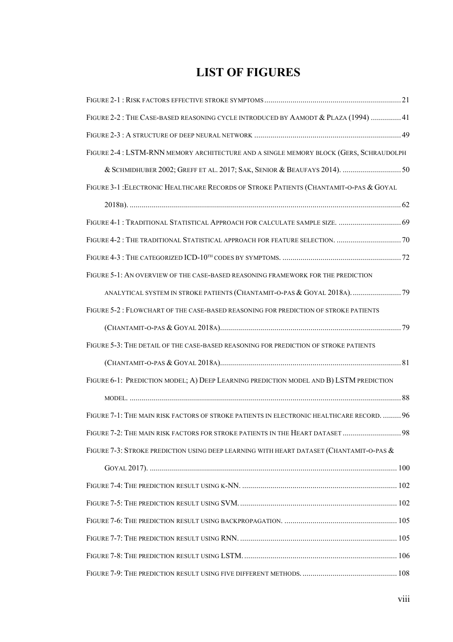# **LIST OF FIGURES**

| FIGURE 2-2: THE CASE-BASED REASONING CYCLE INTRODUCED BY AAMODT & PLAZA (1994)  41         |  |
|--------------------------------------------------------------------------------------------|--|
|                                                                                            |  |
| FIGURE 2-4: LSTM-RNN MEMORY ARCHITECTURE AND A SINGLE MEMORY BLOCK (GERS, SCHRAUDOLPH      |  |
| & SCHMIDHUBER 2002; GREFF ET AL. 2017; SAK, SENIOR & BEAUFAYS 2014).  50                   |  |
| FIGURE 3-1 : ELECTRONIC HEALTHCARE RECORDS OF STROKE PATIENTS (CHANTAMIT-O-PAS & GOYAL     |  |
|                                                                                            |  |
| FIGURE 4-1 : TRADITIONAL STATISTICAL APPROACH FOR CALCULATE SAMPLE SIZE.  69               |  |
|                                                                                            |  |
|                                                                                            |  |
| FIGURE 5-1: AN OVERVIEW OF THE CASE-BASED REASONING FRAMEWORK FOR THE PREDICTION           |  |
| ANALYTICAL SYSTEM IN STROKE PATIENTS (CHANTAMIT-O-PAS & GOYAL 2018A) 79                    |  |
| FIGURE 5-2 : FLOWCHART OF THE CASE-BASED REASONING FOR PREDICTION OF STROKE PATIENTS       |  |
|                                                                                            |  |
| FIGURE 5-3: THE DETAIL OF THE CASE-BASED REASONING FOR PREDICTION OF STROKE PATIENTS       |  |
|                                                                                            |  |
| FIGURE 6-1: PREDICTION MODEL; A) DEEP LEARNING PREDICTION MODEL AND B) LSTM PREDICTION     |  |
|                                                                                            |  |
| FIGURE 7-1: THE MAIN RISK FACTORS OF STROKE PATIENTS IN ELECTRONIC HEALTHCARE RECORD.  96  |  |
| FIGURE 7-2: THE MAIN RISK FACTORS FOR STROKE PATIENTS IN THE HEART DATASET  98             |  |
| FIGURE 7-3: STROKE PREDICTION USING DEEP LEARNING WITH HEART DATASET (CHANTAMIT-O-PAS $\&$ |  |
|                                                                                            |  |
|                                                                                            |  |
|                                                                                            |  |
|                                                                                            |  |
|                                                                                            |  |
|                                                                                            |  |
|                                                                                            |  |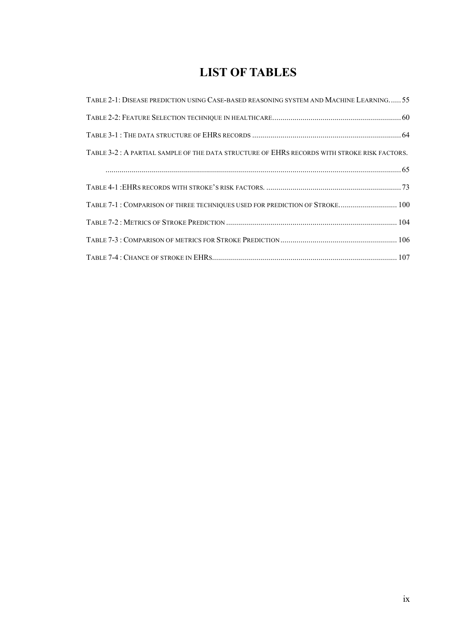# **LIST OF TABLES**

| TABLE 2-1: DISEASE PREDICTION USING CASE-BASED REASONING SYSTEM AND MACHINE LEARNING 55      |  |
|----------------------------------------------------------------------------------------------|--|
|                                                                                              |  |
|                                                                                              |  |
| TABLE 3-2 : A PARTIAL SAMPLE OF THE DATA STRUCTURE OF EHRS RECORDS WITH STROKE RISK FACTORS. |  |
|                                                                                              |  |
|                                                                                              |  |
| TABLE 7-1: COMPARISON OF THREE TECHNIQUES USED FOR PREDICTION OF STROKE 100                  |  |
|                                                                                              |  |
|                                                                                              |  |
|                                                                                              |  |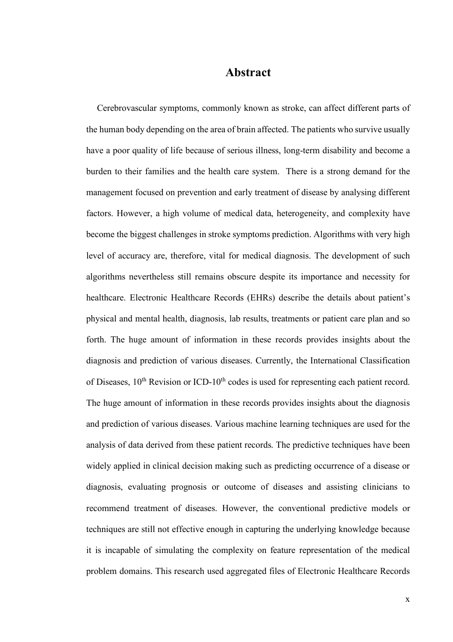#### **Abstract**

Cerebrovascular symptoms, commonly known as stroke, can affect different parts of the human body depending on the area of brain affected. The patients who survive usually have a poor quality of life because of serious illness, long-term disability and become a burden to their families and the health care system. There is a strong demand for the management focused on prevention and early treatment of disease by analysing different factors. However, a high volume of medical data, heterogeneity, and complexity have become the biggest challenges in stroke symptoms prediction. Algorithms with very high level of accuracy are, therefore, vital for medical diagnosis. The development of such algorithms nevertheless still remains obscure despite its importance and necessity for healthcare. Electronic Healthcare Records (EHRs) describe the details about patient's physical and mental health, diagnosis, lab results, treatments or patient care plan and so forth. The huge amount of information in these records provides insights about the diagnosis and prediction of various diseases. Currently, the International Classification of Diseases, 10<sup>th</sup> Revision or ICD-10<sup>th</sup> codes is used for representing each patient record. The huge amount of information in these records provides insights about the diagnosis and prediction of various diseases. Various machine learning techniques are used for the analysis of data derived from these patient records. The predictive techniques have been widely applied in clinical decision making such as predicting occurrence of a disease or diagnosis, evaluating prognosis or outcome of diseases and assisting clinicians to recommend treatment of diseases. However, the conventional predictive models or techniques are still not effective enough in capturing the underlying knowledge because it is incapable of simulating the complexity on feature representation of the medical problem domains. This research used aggregated files of Electronic Healthcare Records